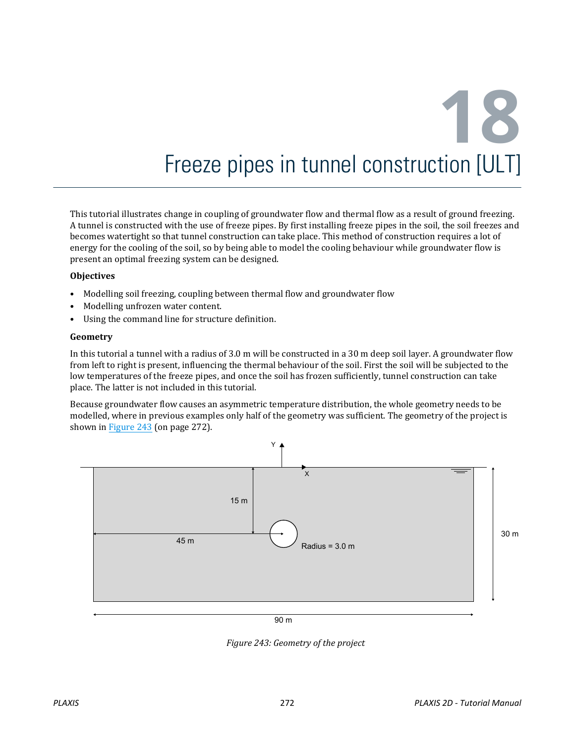# **18** Freeze pipes in tunnel construction [ULT]

This tutorial illustrates change in coupling of groundwater flow and thermal flow as a result of ground freezing. A tunnel is constructed with the use of freeze pipes. By first installing freeze pipes in the soil, the soil freezes and becomes watertight so that tunnel construction can take place. This method of construction requires a lot of energy for the cooling of the soil, so by being able to model the cooling behaviour while groundwater flow is present an optimal freezing system can be designed.

#### **Objectives**

- Modelling soil freezing, coupling between thermal flow and groundwater flow
- Modelling unfrozen water content.
- Using the command line for structure definition.

#### **Geometry**

In this tutorial a tunnel with a radius of 3.0 m will be constructed in a 30 m deep soil layer. A groundwater flow from left to right is present, influencing the thermal behaviour of the soil. First the soil will be subjected to the low temperatures of the freeze pipes, and once the soil has frozen sufficiently, tunnel construction can take place. The latter is not included in this tutorial.

Because groundwater flow causes an asymmetric temperature distribution, the whole geometry needs to be modelled, where in previous examples only half of the geometry was sufficient. The geometry of the project is shown in Figure 243 (on page 272).



*Figure 243: Geometry of the project*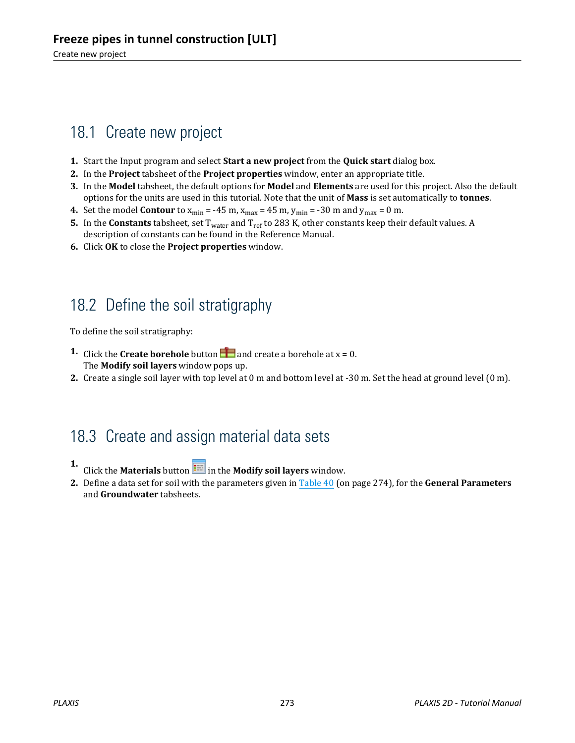# 18.1 Create new project

- **1.** Start the Input program and select **Start a new project** from the **Quick start** dialog box.
- **2.** In the **Project** tabsheet of the **Project properties** window, enter an appropriate title.
- **3.** In the **Model** tabsheet, the default options for **Model** and **Elements** are used for this project. Also the default options for the units are used in this tutorial. Note that the unit of **Mass** is set automatically to **tonnes**.
- **4.** Set the model **Contour** to  $x_{min} = -45$  m,  $x_{max} = 45$  m,  $y_{min} = -30$  m and  $y_{max} = 0$  m.
- **5.** In the **Constants** tabsheet, set T<sub>water</sub> and T<sub>ref</sub> to 283 K, other constants keep their default values. A description of constants can be found in the Reference Manual.
- **6.** Click **OK** to close the **Project properties** window.

## 18.2 Define the soil stratigraphy

To define the soil stratigraphy:

- **1.** Click the **Create borehole** button **a** and create a borehole at  $x = 0$ . The **Modify soil layers** window pops up.
- **2.** Create a single soil layer with top level at 0 m and bottom level at -30 m. Set the head at ground level (0 m).

## 18.3 Create and assign material data sets

- **1.** Click the **Materials** button **in the Modify soil layers** window.
- **2.** Define a data set for soil with the parameters given in [Table 40](#page-2-0) (on page 274), for the **General Parameters** and **Groundwater** tabsheets.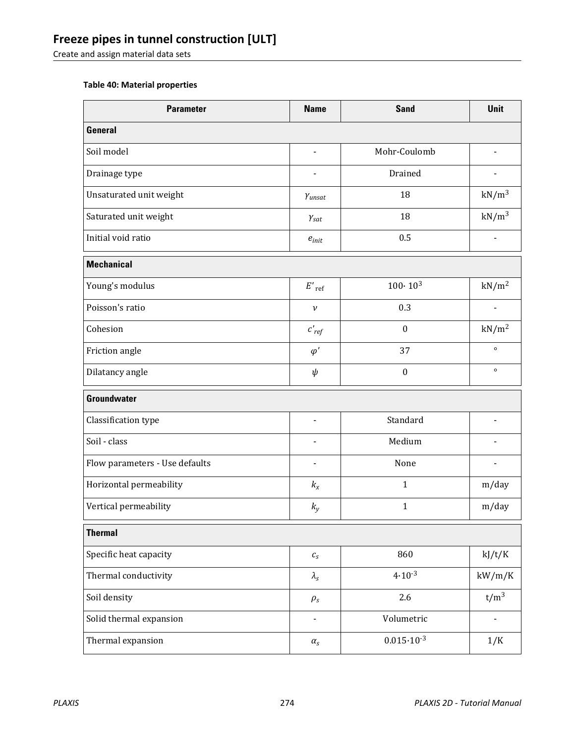## <span id="page-2-0"></span>**Freeze pipes in tunnel construction [ULT]**

Create and assign material data sets

#### **Table 40: Material properties**

| <b>Parameter</b>               | <b>Name</b>                  | <b>Sand</b>           | <b>Unit</b>       |  |  |
|--------------------------------|------------------------------|-----------------------|-------------------|--|--|
| <b>General</b>                 |                              |                       |                   |  |  |
| Soil model                     | L,                           | Mohr-Coulomb          |                   |  |  |
| Drainage type                  |                              | Drained               |                   |  |  |
| Unsaturated unit weight        | Yunsat                       | 18                    | $kN/m^3$          |  |  |
| Saturated unit weight          | $Y_{\text{sat}}$             | 18                    | $kN/m^3$          |  |  |
| Initial void ratio             | $e_{init}$                   | 0.5                   |                   |  |  |
| <b>Mechanical</b>              |                              |                       |                   |  |  |
| Young's modulus                | $E'$ <sub>ref</sub>          | $100 \cdot 10^{3}$    | kN/m <sup>2</sup> |  |  |
| Poisson's ratio                | $\boldsymbol{\nu}$           | 0.3                   |                   |  |  |
| Cohesion                       | $c'_{ref}$                   | $\boldsymbol{0}$      | $kN/m^2$          |  |  |
| Friction angle                 | $\varphi'$                   | 37                    | $\circ$           |  |  |
| Dilatancy angle                | $\psi$                       | $\boldsymbol{0}$      | $\circ$           |  |  |
| <b>Groundwater</b>             |                              |                       |                   |  |  |
| Classification type            |                              | Standard              |                   |  |  |
| Soil - class                   |                              | Medium                |                   |  |  |
| Flow parameters - Use defaults |                              | None                  |                   |  |  |
| Horizontal permeability        | $k_{x}$                      | $\mathbf{1}$          | m/day             |  |  |
| Vertical permeability          | $k_{y}$                      | $\mathbf{1}$          | m/day             |  |  |
| <b>Thermal</b>                 |                              |                       |                   |  |  |
| Specific heat capacity         | $\mathcal{C}_S$              | 860                   | kJ/t/K            |  |  |
| Thermal conductivity           | $\lambda_{\rm s}$            | $4.10^{-3}$           | kW/m/K            |  |  |
| Soil density                   | $\rho_s$                     | 2.6                   | $t/m^3$           |  |  |
| Solid thermal expansion        | $\qquad \qquad \blacksquare$ | Volumetric            |                   |  |  |
| Thermal expansion              | $\alpha_s$                   | $0.015 \cdot 10^{-3}$ | 1/K               |  |  |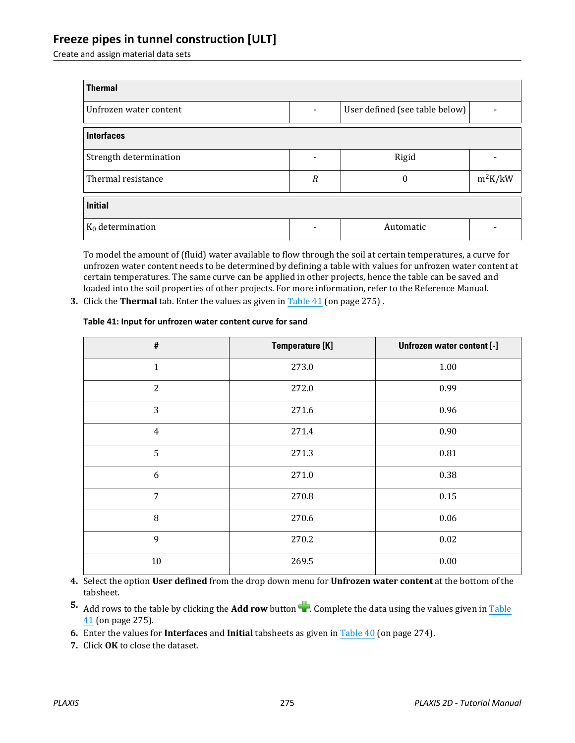### **Freeze pipes in tunnel construction [ULT]**

Create and assign material data sets

| <b>Thermal</b>         |                  |                                |           |  |  |  |
|------------------------|------------------|--------------------------------|-----------|--|--|--|
| Unfrozen water content |                  | User defined (see table below) |           |  |  |  |
| <b>Interfaces</b>      |                  |                                |           |  |  |  |
| Strength determination |                  | Rigid                          |           |  |  |  |
| Thermal resistance     | $\boldsymbol{R}$ | $\Omega$                       | $m^2K/kW$ |  |  |  |
| <b>Initial</b>         |                  |                                |           |  |  |  |
| $K_0$ determination    |                  | Automatic                      |           |  |  |  |

To model the amount of (fluid) water available to flow through the soil at certain temperatures, a curve for unfrozen water content needs to be determined by defining a table with values for unfrozen water content at certain temperatures. The same curve can be applied in other projects, hence the table can be saved and loaded into the soil properties of other projects. For more information, refer to the Reference Manual.

**3.** Click the **Thermal** tab. Enter the values as given in Table 41 (on page 275) .

#### **Table 41: Input for unfrozen water content curve for sand**

| $\#$           | <b>Temperature [K]</b> | Unfrozen water content [-] |
|----------------|------------------------|----------------------------|
| $\mathbf{1}$   | 273.0                  | $1.00\,$                   |
| 2              | 272.0                  | 0.99                       |
| 3              | 271.6                  | 0.96                       |
| $\overline{4}$ | 271.4                  | 0.90                       |
| 5              | 271.3                  | 0.81                       |
| 6              | 271.0                  | 0.38                       |
| $\overline{7}$ | 270.8                  | 0.15                       |
| 8              | 270.6                  | 0.06                       |
| 9              | 270.2                  | 0.02                       |
| $10\,$         | 269.5                  | 0.00                       |

**4.** Select the option **User defined** from the drop down menu for **Unfrozen water content** at the bottom of the tabsheet.

- **5.** Add rows to the table by clicking the **Add row** button **1.** Complete the data using the values given in Table 41 (on page 275).
- **6.** Enter the values for **Interfaces** and **Initial** tabsheets as given in [Table 40](#page-2-0) (on page 274).
- **7.** Click **OK** to close the dataset.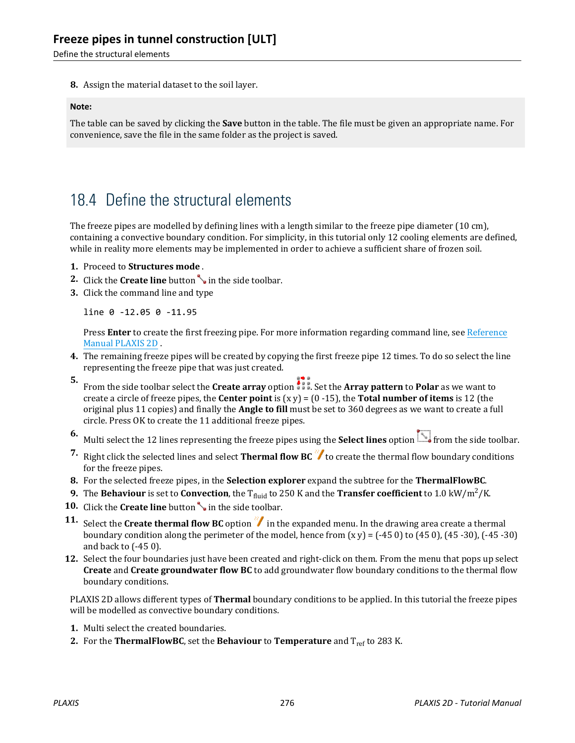Define the structural elements

**8.** Assign the material dataset to the soil layer.

#### **Note:**

The table can be saved by clicking the **Save** button in the table. The file must be given an appropriate name. For convenience, save the file in the same folder as the project is saved.

## 18.4 Define the structural elements

The freeze pipes are modelled by defining lines with a length similar to the freeze pipe diameter (10 cm), containing a convective boundary condition. For simplicity, in this tutorial only 12 cooling elements are defined, while in reality more elements may be implemented in order to achieve a sufficient share of frozen soil.

- **1.** Proceed to **Structures mode** .
- **2.** Click the **Create line** button in the side toolbar.
- **3.** Click the command line and type

line 0 -12.05 0 -11.95

Press **Enter** to create the first freezing pipe. For more information regarding command line, see Reference Manual PLAXIS 2D .

- **4.** The remaining freeze pipes will be created by copying the first freeze pipe 12 times. To do so select the line representing the freeze pipe that was just created.
- **5.** From the side toolbar select the **Create array** option **.** Set the **Array pattern** to **Polar** as we want to create a circle of freeze pipes, the **Center point** is (x y) = (0 -15), the **Total number of items** is 12 (the original plus 11 copies) and finally the **Angle to fill** must be set to 360 degrees as we want to create a full circle. Press OK to create the 11 additional freeze pipes.
- **6.** Multi select the 12 lines representing the freeze pipes using the **Select lines** option from the side toolbar.
- **7.** Right click the selected lines and select **Thermal flow BC** to create the thermal flow boundary conditions for the freeze pipes.
- **8.** For the selected freeze pipes, in the **Selection explorer** expand the subtree for the **ThermalFlowBC**.
- **9.** The **Behaviour** is set to **Convection**, the T<sub>fluid</sub> to 250 K and the **Transfer coefficient** to 1.0 kW/m<sup>2</sup>/K.
- **10.** Click the **Create line** button in the side toolbar.
- **11.** Select the **Create thermal flow BC** option  $\mathcal{V}$  in the expanded menu. In the drawing area create a thermal boundary condition along the perimeter of the model, hence from  $(x y) = (-450)$  to  $(450)$ ,  $(45-30)$ ,  $(-45-30)$ and back to (-45 0).
- **12.** Select the four boundaries just have been created and right-click on them. From the menu that pops up select **Create** and **Create groundwater flow BC** to add groundwater flow boundary conditions to the thermal flow boundary conditions.

PLAXIS 2D allows different types of **Thermal** boundary conditions to be applied. In this tutorial the freeze pipes will be modelled as convective boundary conditions.

- **1.** Multi select the created boundaries.
- **2.** For the **ThermalFlowBC**, set the **Behaviour** to **Temperature** and  $T_{ref}$  to 283 K.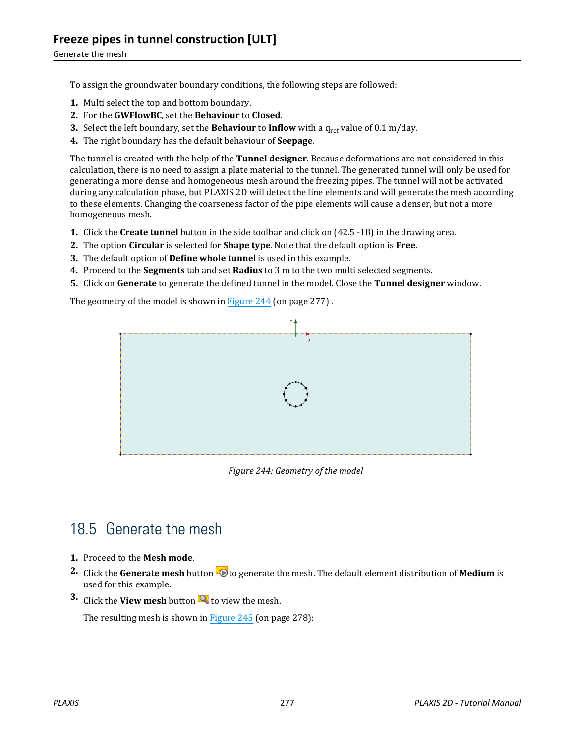To assign the groundwater boundary conditions, the following steps are followed:

- **1.** Multi select the top and bottom boundary.
- **2.** For the **GWFlowBC**, set the **Behaviour** to **Closed**.
- **3.** Select the left boundary, set the **Behaviour** to **Inflow** with a q<sub>ref</sub> value of 0.1 m/day.
- **4.** The right boundary has the default behaviour of **Seepage**.

The tunnel is created with the help of the **Tunnel designer**. Because deformations are not considered in this calculation, there is no need to assign a plate material to the tunnel. The generated tunnel will only be used for generating a more dense and homogeneous mesh around the freezing pipes. The tunnel will not be activated during any calculation phase, but PLAXIS 2D will detect the line elements and will generate the mesh according to these elements. Changing the coarseness factor of the pipe elements will cause a denser, but not a more homogeneous mesh.

- **1.** Click the **Create tunnel** button in the side toolbar and click on (42.5 -18) in the drawing area.
- **2.** The option **Circular** is selected for **Shape type**. Note that the default option is **Free**.
- **3.** The default option of **Define whole tunnel** is used in this example.
- **4.** Proceed to the **Segments** tab and set **Radius** to 3 m to the two multi selected segments.
- **5.** Click on **Generate** to generate the defined tunnel in the model. Close the **Tunnel designer** window.

The geometry of the model is shown in Figure 244 (on page 277) .



*Figure 244: Geometry of the model*

# 18.5 Generate the mesh

- **1.** Proceed to the **Mesh mode**.
- **2.** Click the **Generate mesh** button **to** to generate the mesh. The default element distribution of **Medium** is used for this example.
- **3.** Click the **View mesh** button **th** to view the mesh.

The resulting mesh is shown in [Figure 245](#page-6-0) (on page 278):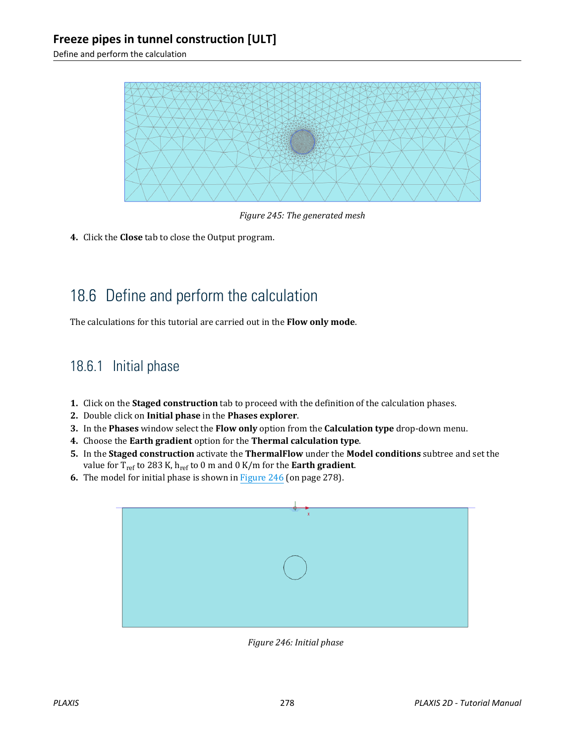<span id="page-6-0"></span>Define and perform the calculation



*Figure 245: The generated mesh*

**4.** Click the **Close** tab to close the Output program.

# 18.6 Define and perform the calculation

The calculations for this tutorial are carried out in the **Flow only mode**.

## 18.6.1 Initial phase

- **1.** Click on the **Staged construction** tab to proceed with the definition of the calculation phases.
- **2.** Double click on **Initial phase** in the **Phases explorer**.
- **3.** In the **Phases** window select the **Flow only** option from the **Calculation type** drop-down menu.
- **4.** Choose the **Earth gradient** option for the **Thermal calculation type**.
- **5.** In the **Staged construction** activate the **ThermalFlow** under the **Model conditions** subtree and set the value for Tref to 283 K, href to 0 m and 0 K/m for the **Earth gradient**.
- **6.** The model for initial phase is shown in Figure 246 (on page 278).



*Figure 246: Initial phase*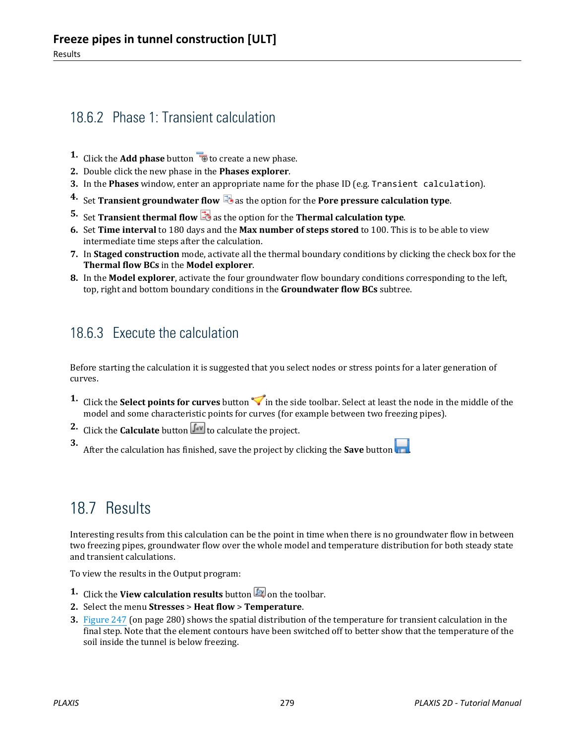## 18.6.2 Phase 1: Transient calculation

- **1.** Click the **Add phase** button  $\overline{B}$  to create a new phase.
- **2.** Double click the new phase in the **Phases explorer**.
- **3.** In the **Phases** window, enter an appropriate name for the phase ID (e.g. Transient calculation).
- **4.** Set **Transient groundwater flow b** as the option for the **Pore pressure calculation type**.
- **5.** Set **Transient thermal flow 3** as the option for the **Thermal calculation type**.
- **6.** Set **Time interval** to 180 days and the **Max number of steps stored** to 100. This is to be able to view intermediate time steps after the calculation.
- **7.** In **Staged construction** mode, activate all the thermal boundary conditions by clicking the check box for the **Thermal flow BCs** in the **Model explorer**.
- **8.** In the **Model explorer**, activate the four groundwater flow boundary conditions corresponding to the left, top, right and bottom boundary conditions in the **Groundwater flow BCs** subtree.

## 18.6.3 Execute the calculation

Before starting the calculation it is suggested that you select nodes or stress points for a later generation of curves.

- **1.** Click the **Select points for curves** button in the side toolbar. Select at least the node in the middle of the model and some characteristic points for curves (for example between two freezing pipes).
- **2.** Click the **Calculate** button  $\sqrt{\int_{0}^{4V}}$  to calculate the project.

**3.** After the calculation has finished, save the project by clicking the **Save** button

## 18.7 Results

Interesting results from this calculation can be the point in time when there is no groundwater flow in between two freezing pipes, groundwater flow over the whole model and temperature distribution for both steady state and transient calculations.

To view the results in the Output program:

- **1.** Click the **View calculation results** button **b** on the toolbar.
- **2.** Select the menu **Stresses** > **Heat flow** > **Temperature**.
- **3.** [Figure 247](#page-8-0) (on page 280) shows the spatial distribution of the temperature for transient calculation in the final step. Note that the element contours have been switched off to better show that the temperature of the soil inside the tunnel is below freezing.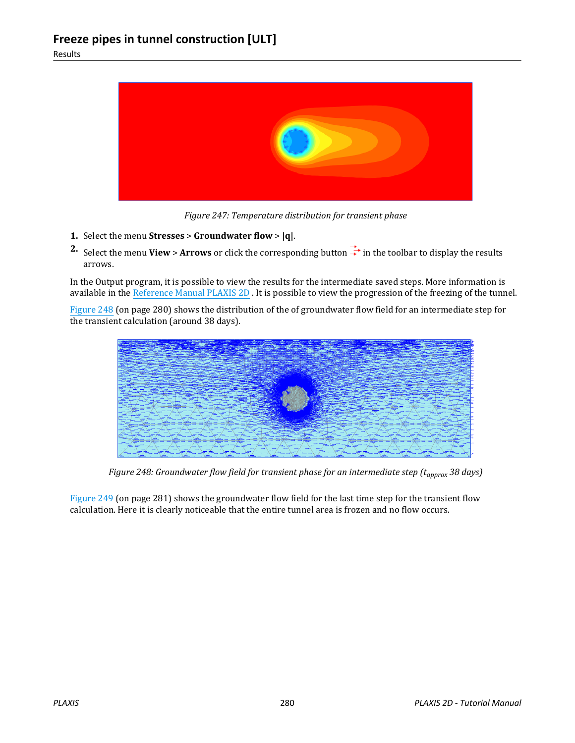<span id="page-8-0"></span>

*Figure 247: Temperature distribution for transient phase*

- **1.** Select the menu **Stresses** > **Groundwater flow** > **|q|**.
- **2.** Select the menu **View** > **Arrows** or click the corresponding button  $\frac{1}{x}$  in the toolbar to display the results arrows.

In the Output program, it is possible to view the results for the intermediate saved steps. More information is available in the Reference Manual PLAXIS 2D . It is possible to view the progression of the freezing of the tunnel.

Figure 248 (on page 280) shows the distribution of the of groundwater flow field for an intermediate step for the transient calculation (around 38 days).



*Figure 248: Groundwater flow field for transient phase for an intermediate step (tapprox 38 days)*

[Figure 249](#page-9-0) (on page 281) shows the groundwater flow field for the last time step for the transient flow calculation. Here it is clearly noticeable that the entire tunnel area is frozen and no flow occurs.